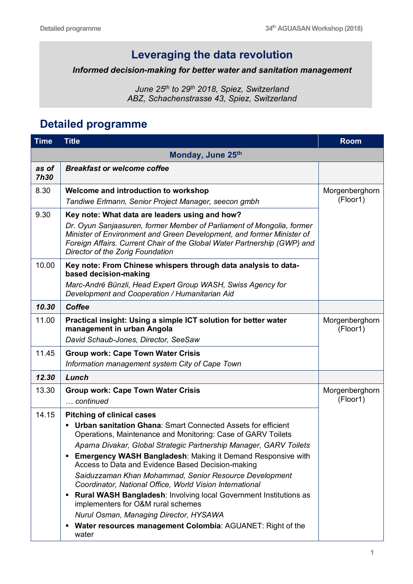## **Leveraging the data revolution**

## *Informed decision-making for better water and sanitation management*

*June 25th to 29th 2018, Spiez, Switzerland ABZ, Schachenstrasse 43, Spiez, Switzerland*

## **Detailed programme**

| <b>Time</b>          | <b>Title</b>                                                                                                                                                                                                                                                                                                                                                                                                                                                                                                                                                                                                                                                                                                                                      | <b>Room</b>                |
|----------------------|---------------------------------------------------------------------------------------------------------------------------------------------------------------------------------------------------------------------------------------------------------------------------------------------------------------------------------------------------------------------------------------------------------------------------------------------------------------------------------------------------------------------------------------------------------------------------------------------------------------------------------------------------------------------------------------------------------------------------------------------------|----------------------------|
| Monday, June 25th    |                                                                                                                                                                                                                                                                                                                                                                                                                                                                                                                                                                                                                                                                                                                                                   |                            |
| as of<br><b>7h30</b> | <b>Breakfast or welcome coffee</b>                                                                                                                                                                                                                                                                                                                                                                                                                                                                                                                                                                                                                                                                                                                |                            |
| 8.30                 | Welcome and introduction to workshop<br>Tandiwe Erlmann, Senior Project Manager, seecon gmbh                                                                                                                                                                                                                                                                                                                                                                                                                                                                                                                                                                                                                                                      | Morgenberghorn<br>(Floor1) |
| 9.30                 | Key note: What data are leaders using and how?<br>Dr. Oyun Sanjaasuren, former Member of Parliament of Mongolia, former<br>Minister of Environment and Green Development, and former Minister of<br>Foreign Affairs. Current Chair of the Global Water Partnership (GWP) and<br>Director of the Zorig Foundation                                                                                                                                                                                                                                                                                                                                                                                                                                  |                            |
| 10.00                | Key note: From Chinese whispers through data analysis to data-<br>based decision-making<br>Marc-André Bünzli, Head Expert Group WASH, Swiss Agency for<br>Development and Cooperation / Humanitarian Aid                                                                                                                                                                                                                                                                                                                                                                                                                                                                                                                                          |                            |
| 10.30                | <b>Coffee</b>                                                                                                                                                                                                                                                                                                                                                                                                                                                                                                                                                                                                                                                                                                                                     |                            |
| 11.00                | Practical insight: Using a simple ICT solution for better water<br>management in urban Angola<br>David Schaub-Jones, Director, SeeSaw                                                                                                                                                                                                                                                                                                                                                                                                                                                                                                                                                                                                             | Morgenberghorn<br>(Floor1) |
| 11.45                | <b>Group work: Cape Town Water Crisis</b><br>Information management system City of Cape Town                                                                                                                                                                                                                                                                                                                                                                                                                                                                                                                                                                                                                                                      |                            |
| 12.30                | Lunch                                                                                                                                                                                                                                                                                                                                                                                                                                                                                                                                                                                                                                                                                                                                             |                            |
| 13.30                | <b>Group work: Cape Town Water Crisis</b><br>continued                                                                                                                                                                                                                                                                                                                                                                                                                                                                                                                                                                                                                                                                                            | Morgenberghorn<br>(Floor1) |
| 14.15                | <b>Pitching of clinical cases</b><br><b>Urban sanitation Ghana: Smart Connected Assets for efficient</b><br>٠<br>Operations, Maintenance and Monitoring: Case of GARV Toilets<br>Aparna Divakar, Global Strategic Partnership Manager, GARV Toilets<br><b>Emergency WASH Bangladesh: Making it Demand Responsive with</b><br>Access to Data and Evidence Based Decision-making<br>Saiduzzaman Khan Mohammad, Senior Resource Development<br>Coordinator, National Office, World Vision International<br><b>Rural WASH Bangladesh: Involving local Government Institutions as</b><br>п<br>implementers for O&M rural schemes<br>Nurul Osman, Managing Director, HYSAWA<br>Water resources management Colombia: AGUANET: Right of the<br>٠<br>water |                            |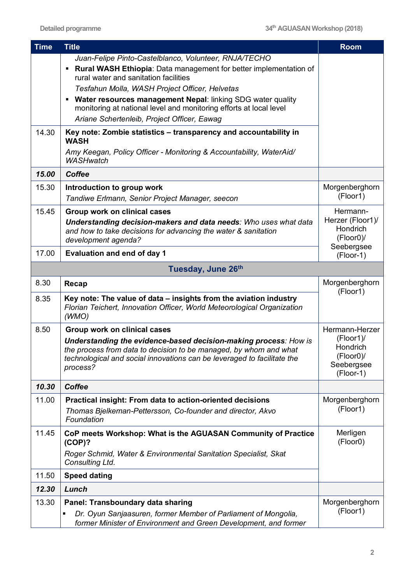| <b>Time</b> | <b>Title</b>                                                                                                                                          | <b>Room</b>                  |
|-------------|-------------------------------------------------------------------------------------------------------------------------------------------------------|------------------------------|
|             | Juan-Felipe Pinto-Castelblanco, Volunteer, RNJA/TECHO                                                                                                 |                              |
|             | Rural WASH Ethiopia: Data management for better implementation of<br>rural water and sanitation facilities                                            |                              |
|             | Tesfahun Molla, WASH Project Officer, Helvetas                                                                                                        |                              |
|             | • Water resources management Nepal: linking SDG water quality<br>monitoring at national level and monitoring efforts at local level                   |                              |
|             | Ariane Schertenleib, Project Officer, Eawag                                                                                                           |                              |
| 14.30       | Key note: Zombie statistics - transparency and accountability in<br><b>WASH</b>                                                                       |                              |
|             | Amy Keegan, Policy Officer - Monitoring & Accountability, WaterAid/<br><b>WASHwatch</b>                                                               |                              |
| 15.00       | <b>Coffee</b>                                                                                                                                         |                              |
| 15.30       | Introduction to group work                                                                                                                            | Morgenberghorn               |
|             | Tandiwe Erlmann, Senior Project Manager, seecon                                                                                                       | (Floor1)                     |
| 15.45       | Group work on clinical cases                                                                                                                          | Hermann-                     |
|             | Understanding decision-makers and data needs: Who uses what data                                                                                      | Herzer (Floor1)/<br>Hondrich |
|             | and how to take decisions for advancing the water & sanitation<br>development agenda?                                                                 | $(Floor0)$ /                 |
| 17.00       | <b>Evaluation and end of day 1</b>                                                                                                                    | Seebergsee<br>(Floor-1)      |
|             | Tuesday, June 26th                                                                                                                                    |                              |
| 8.30        | Recap                                                                                                                                                 | Morgenberghorn               |
|             |                                                                                                                                                       | (Floor1)                     |
| 8.35        | Key note: The value of data - insights from the aviation industry<br>Florian Teichert, Innovation Officer, World Meteorological Organization<br>(WMO) |                              |
| 8.50        | Group work on clinical cases                                                                                                                          | Hermann-Herzer               |
|             | Understanding the evidence-based decision-making process: How is                                                                                      | (Floor1)/                    |
|             | the process from data to decision to be managed, by whom and what<br>technological and social innovations can be leveraged to facilitate the          | Hondrich<br>(Floor0)/        |
|             | process?                                                                                                                                              | Seebergsee                   |
|             |                                                                                                                                                       | (Floor-1)                    |
| 10.30       | <b>Coffee</b>                                                                                                                                         |                              |
| 11.00       | Practical insight: From data to action-oriented decisions                                                                                             | Morgenberghorn               |
|             | Thomas Bjelkeman-Pettersson, Co-founder and director, Akvo<br>Foundation                                                                              | (Floor1)                     |
| 11.45       | CoP meets Workshop: What is the AGUASAN Community of Practice                                                                                         | Merligen                     |
|             | $(COP)$ ?                                                                                                                                             | (Floor0)                     |
|             | Roger Schmid, Water & Environmental Sanitation Specialist, Skat<br>Consulting Ltd.                                                                    |                              |
| 11.50       | <b>Speed dating</b>                                                                                                                                   |                              |
| 12.30       | Lunch                                                                                                                                                 |                              |
| 13.30       | Panel: Transboundary data sharing                                                                                                                     | Morgenberghorn               |
|             | Dr. Oyun Sanjaasuren, former Member of Parliament of Mongolia,                                                                                        | (Floor1)                     |
|             | former Minister of Environment and Green Development, and former                                                                                      |                              |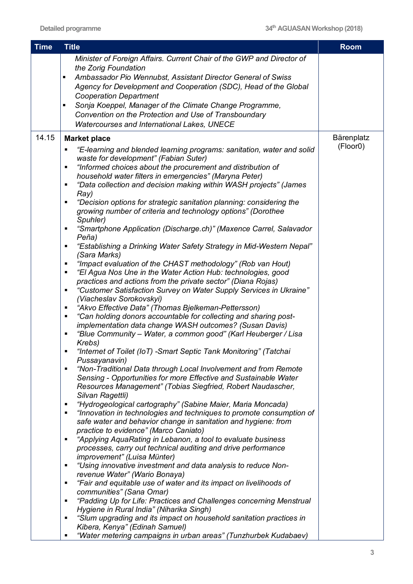| <b>Time</b> | <b>Title</b>                                                                                                                                                                                                                                                                                                                                                                                                                                                                                                                                                                                                                                                                                                                                                                                                                                                                                                                                                                                                                                                                                                                                                                                                                                                                                                                                                                                                                                                                                                                                                                                                                                                                                                                                                                                                                                                                                                                                                                                                                                                                                                                                                                                                    | <b>Room</b>            |
|-------------|-----------------------------------------------------------------------------------------------------------------------------------------------------------------------------------------------------------------------------------------------------------------------------------------------------------------------------------------------------------------------------------------------------------------------------------------------------------------------------------------------------------------------------------------------------------------------------------------------------------------------------------------------------------------------------------------------------------------------------------------------------------------------------------------------------------------------------------------------------------------------------------------------------------------------------------------------------------------------------------------------------------------------------------------------------------------------------------------------------------------------------------------------------------------------------------------------------------------------------------------------------------------------------------------------------------------------------------------------------------------------------------------------------------------------------------------------------------------------------------------------------------------------------------------------------------------------------------------------------------------------------------------------------------------------------------------------------------------------------------------------------------------------------------------------------------------------------------------------------------------------------------------------------------------------------------------------------------------------------------------------------------------------------------------------------------------------------------------------------------------------------------------------------------------------------------------------------------------|------------------------|
|             | Minister of Foreign Affairs. Current Chair of the GWP and Director of<br>the Zorig Foundation<br>Ambassador Pio Wennubst, Assistant Director General of Swiss<br>٠<br>Agency for Development and Cooperation (SDC), Head of the Global<br><b>Cooperation Department</b><br>Sonja Koeppel, Manager of the Climate Change Programme,<br>٠<br>Convention on the Protection and Use of Transboundary<br>Watercourses and International Lakes, UNECE                                                                                                                                                                                                                                                                                                                                                                                                                                                                                                                                                                                                                                                                                                                                                                                                                                                                                                                                                                                                                                                                                                                                                                                                                                                                                                                                                                                                                                                                                                                                                                                                                                                                                                                                                                 |                        |
| 14.15       | <b>Market place</b><br>"E-learning and blended learning programs: sanitation, water and solid<br>$\blacksquare$<br>waste for development" (Fabian Suter)<br>"Informed choices about the procurement and distribution of<br>٠<br>household water filters in emergencies" (Maryna Peter)<br>"Data collection and decision making within WASH projects" (James<br>٠<br>Ray)<br>"Decision options for strategic sanitation planning: considering the<br>٠<br>growing number of criteria and technology options" (Dorothee<br>Spuhler)<br>"Smartphone Application (Discharge.ch)" (Maxence Carrel, Salavador<br>٠<br>Peña)<br>"Establishing a Drinking Water Safety Strategy in Mid-Western Nepal"<br>٠<br>(Sara Marks)<br>"Impact evaluation of the CHAST methodology" (Rob van Hout)<br>٠<br>"El Agua Nos Une in the Water Action Hub: technologies, good<br>٠<br>practices and actions from the private sector" (Diana Rojas)<br>"Customer Satisfaction Survey on Water Supply Services in Ukraine"<br>٠<br>(Viacheslav Sorokovskyi)<br>"Akvo Effective Data" (Thomas Bjelkeman-Pettersson)<br>٠<br>"Can holding donors accountable for collecting and sharing post-<br>$\blacksquare$<br>implementation data change WASH outcomes? (Susan Davis)<br>"Blue Community - Water, a common good" (Karl Heuberger / Lisa<br>٠<br>Krebs)<br>"Internet of Toilet (IoT) -Smart Septic Tank Monitoring" (Tatchai<br>$\blacksquare$<br>Pussayanavin)<br>"Non-Traditional Data through Local Involvement and from Remote<br>п<br>Sensing - Opportunities for more Effective and Sustainable Water<br>Resources Management" (Tobias Siegfried, Robert Naudascher,<br>Silvan Ragettli)<br>"Hydrogeological cartography" (Sabine Maier, Maria Moncada)<br>٠<br>"Innovation in technologies and techniques to promote consumption of<br>п<br>safe water and behavior change in sanitation and hygiene: from<br>practice to evidence" (Marco Caniato)<br>"Applying AquaRating in Lebanon, a tool to evaluate business<br>٠<br>processes, carry out technical auditing and drive performance<br>improvement" (Luisa Münter)<br>"Using innovative investment and data analysis to reduce Non-<br>٠<br>revenue Water" (Wario Bonaya) | Bärenplatz<br>(Floor0) |
|             | "Fair and equitable use of water and its impact on livelihoods of<br>٠<br>communities" (Sana Omar)<br>"Padding Up for Life: Practices and Challenges concerning Menstrual<br>٠<br>Hygiene in Rural India" (Niharika Singh)<br>"Slum upgrading and its impact on household sanitation practices in<br>$\blacksquare$<br>Kibera, Kenya" (Edinah Samuel)<br>"Water metering campaigns in urban areas" (Tunzhurbek Kudabaev)                                                                                                                                                                                                                                                                                                                                                                                                                                                                                                                                                                                                                                                                                                                                                                                                                                                                                                                                                                                                                                                                                                                                                                                                                                                                                                                                                                                                                                                                                                                                                                                                                                                                                                                                                                                        |                        |

§ *"Water metering campaigns in urban areas" (Tunzhurbek Kudabaev)*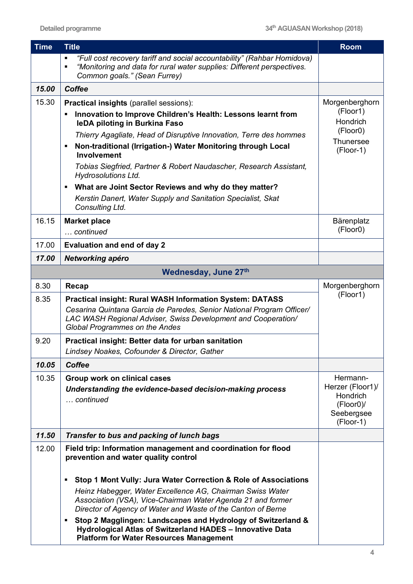| <b>Time</b> | <b>Title</b>                                                                                                                                                                                                          | <b>Room</b>                  |
|-------------|-----------------------------------------------------------------------------------------------------------------------------------------------------------------------------------------------------------------------|------------------------------|
|             | "Full cost recovery tariff and social accountability" (Rahbar Homidova)<br>$\blacksquare$<br>"Monitoring and data for rural water supplies: Different perspectives.<br>$\blacksquare$<br>Common goals." (Sean Furrey) |                              |
| 15.00       | <b>Coffee</b>                                                                                                                                                                                                         |                              |
| 15.30       | <b>Practical insights (parallel sessions):</b>                                                                                                                                                                        | Morgenberghorn               |
|             | Innovation to Improve Children's Health: Lessons learnt from<br>leDA piloting in Burkina Faso                                                                                                                         | (Floor1)<br>Hondrich         |
|             | Thierry Agagliate, Head of Disruptive Innovation, Terre des hommes                                                                                                                                                    | (Floor0)<br><b>Thunersee</b> |
|             | Non-traditional (Irrigation-) Water Monitoring through Local<br>п<br>Involvement                                                                                                                                      | (Floor-1)                    |
|             | Tobias Siegfried, Partner & Robert Naudascher, Research Assistant,<br><b>Hydrosolutions Ltd.</b>                                                                                                                      |                              |
|             | What are Joint Sector Reviews and why do they matter?<br>$\blacksquare$                                                                                                                                               |                              |
|             | Kerstin Danert, Water Supply and Sanitation Specialist, Skat<br>Consulting Ltd.                                                                                                                                       |                              |
| 16.15       | <b>Market place</b>                                                                                                                                                                                                   | Bärenplatz                   |
|             | continued                                                                                                                                                                                                             | (Floor0)                     |
| 17.00       | <b>Evaluation and end of day 2</b>                                                                                                                                                                                    |                              |
| 17.00       | Networking apéro                                                                                                                                                                                                      |                              |
|             | Wednesday, June 27th                                                                                                                                                                                                  |                              |
| 8.30        | Recap                                                                                                                                                                                                                 | Morgenberghorn<br>(Floor1)   |
| 8.35        | <b>Practical insight: Rural WASH Information System: DATASS</b>                                                                                                                                                       |                              |
|             | Cesarina Quintana Garcia de Paredes, Senior National Program Officer/<br>LAC WASH Regional Adviser, Swiss Development and Cooperation/<br><b>Global Programmes on the Andes</b>                                       |                              |
| 9.20        | Practical insight: Better data for urban sanitation                                                                                                                                                                   |                              |
|             | Lindsey Noakes, Cofounder & Director, Gather                                                                                                                                                                          |                              |
| 10.05       | <b>Coffee</b>                                                                                                                                                                                                         |                              |
| 10.35       | Group work on clinical cases                                                                                                                                                                                          | Hermann-                     |
|             | Understanding the evidence-based decision-making process                                                                                                                                                              | Herzer (Floor1)/<br>Hondrich |
|             | continued                                                                                                                                                                                                             | $(Floor0)$ /                 |
|             |                                                                                                                                                                                                                       | Seebergsee<br>(Floor-1)      |
| 11.50       | Transfer to bus and packing of lunch bags                                                                                                                                                                             |                              |
| 12.00       | Field trip: Information management and coordination for flood                                                                                                                                                         |                              |
|             | prevention and water quality control                                                                                                                                                                                  |                              |
|             | Stop 1 Mont Vully: Jura Water Correction & Role of Associations<br>٠                                                                                                                                                  |                              |
|             | Heinz Habegger, Water Excellence AG, Chairman Swiss Water<br>Association (VSA), Vice-Chairman Water Agenda 21 and former<br>Director of Agency of Water and Waste of the Canton of Berne                              |                              |
|             | Stop 2 Magglingen: Landscapes and Hydrology of Switzerland &<br>٠<br>Hydrological Atlas of Switzerland HADES - Innovative Data<br><b>Platform for Water Resources Management</b>                                      |                              |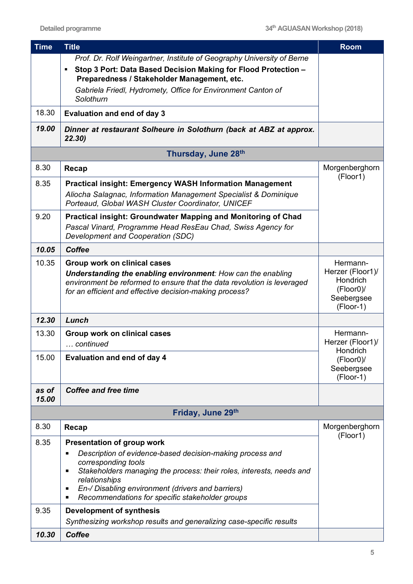| <b>Time</b>    | <b>Title</b>                                                                                                                                                                                                                                                                                                       | <b>Room</b>                                                                         |
|----------------|--------------------------------------------------------------------------------------------------------------------------------------------------------------------------------------------------------------------------------------------------------------------------------------------------------------------|-------------------------------------------------------------------------------------|
|                | Prof. Dr. Rolf Weingartner, Institute of Geography University of Berne                                                                                                                                                                                                                                             |                                                                                     |
|                | Stop 3 Port: Data Based Decision Making for Flood Protection -<br>Preparedness / Stakeholder Management, etc.                                                                                                                                                                                                      |                                                                                     |
|                | Gabriela Friedl, Hydromety, Office for Environment Canton of<br>Solothurn                                                                                                                                                                                                                                          |                                                                                     |
| 18.30          | <b>Evaluation and end of day 3</b>                                                                                                                                                                                                                                                                                 |                                                                                     |
| 19.00          | Dinner at restaurant Solheure in Solothurn (back at ABZ at approx.<br>22.30)                                                                                                                                                                                                                                       |                                                                                     |
|                | Thursday, June 28th                                                                                                                                                                                                                                                                                                |                                                                                     |
| 8.30           | Recap                                                                                                                                                                                                                                                                                                              | Morgenberghorn                                                                      |
| 8.35           | <b>Practical insight: Emergency WASH Information Management</b>                                                                                                                                                                                                                                                    | (Floor1)                                                                            |
|                | Aliocha Salagnac, Information Management Specialist & Dominique<br>Porteaud, Global WASH Cluster Coordinator, UNICEF                                                                                                                                                                                               |                                                                                     |
| 9.20           | <b>Practical insight: Groundwater Mapping and Monitoring of Chad</b>                                                                                                                                                                                                                                               |                                                                                     |
|                | Pascal Vinard, Programme Head ResEau Chad, Swiss Agency for<br>Development and Cooperation (SDC)                                                                                                                                                                                                                   |                                                                                     |
| 10.05          | <b>Coffee</b>                                                                                                                                                                                                                                                                                                      |                                                                                     |
| 10.35          | <b>Group work on clinical cases</b><br>Understanding the enabling environment: How can the enabling<br>environment be reformed to ensure that the data revolution is leveraged<br>for an efficient and effective decision-making process?                                                                          | Hermann-<br>Herzer (Floor1)/<br>Hondrich<br>$(Floor0)$ /<br>Seebergsee<br>(Floor-1) |
| 12.30          | Lunch                                                                                                                                                                                                                                                                                                              |                                                                                     |
| 13.30          | Group work on clinical cases                                                                                                                                                                                                                                                                                       | Hermann-                                                                            |
|                | continued                                                                                                                                                                                                                                                                                                          | Herzer (Floor1)/<br>Hondrich                                                        |
| 15.00          | <b>Evaluation and end of day 4</b>                                                                                                                                                                                                                                                                                 | $(Floor0)$ /<br>Seebergsee<br>(Floor-1)                                             |
| as of<br>15.00 | <b>Coffee and free time</b>                                                                                                                                                                                                                                                                                        |                                                                                     |
|                | Friday, June 29th                                                                                                                                                                                                                                                                                                  |                                                                                     |
| 8.30           | Recap                                                                                                                                                                                                                                                                                                              | Morgenberghorn                                                                      |
| 8.35           | <b>Presentation of group work</b>                                                                                                                                                                                                                                                                                  | (Floor1)                                                                            |
|                | Description of evidence-based decision-making process and<br>$\blacksquare$<br>corresponding tools<br>Stakeholders managing the process: their roles, interests, needs and<br>٠<br>relationships<br>En-/ Disabling environment (drivers and barriers)<br>٠<br>Recommendations for specific stakeholder groups<br>п |                                                                                     |
| 9.35           | <b>Development of synthesis</b>                                                                                                                                                                                                                                                                                    |                                                                                     |
|                | Synthesizing workshop results and generalizing case-specific results                                                                                                                                                                                                                                               |                                                                                     |
| 10.30          | <b>Coffee</b>                                                                                                                                                                                                                                                                                                      |                                                                                     |